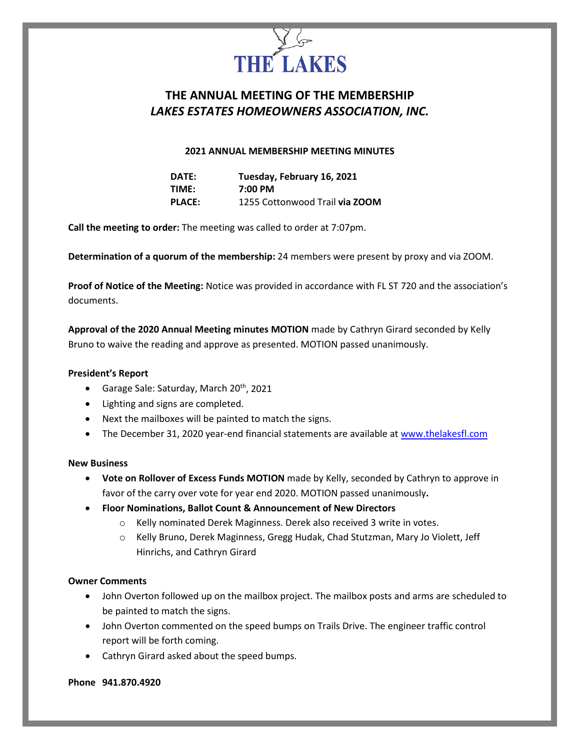

# **THE ANNUAL MEETING OF THE MEMBERSHIP** *LAKES ESTATES HOMEOWNERS ASSOCIATION, INC.*

# **2021 ANNUAL MEMBERSHIP MEETING MINUTES**

| DATE:         | Tuesday, February 16, 2021     |
|---------------|--------------------------------|
| TIME:         | 7:00 PM                        |
| <b>PLACE:</b> | 1255 Cottonwood Trail via ZOOM |

**Call the meeting to order:** The meeting was called to order at 7:07pm.

**Determination of a quorum of the membership:** 24 members were present by proxy and via ZOOM.

**Proof of Notice of the Meeting:** Notice was provided in accordance with FL ST 720 and the association's documents.

**Approval of the 2020 Annual Meeting minutes MOTION** made by Cathryn Girard seconded by Kelly Bruno to waive the reading and approve as presented. MOTION passed unanimously.

#### **President's Report**

- Garage Sale: Saturday, March  $20<sup>th</sup>$ , 2021
- Lighting and signs are completed.
- Next the mailboxes will be painted to match the signs.
- The December 31, 2020 year-end financial statements are available at www.thelakesfl.com

# **New Business**

- **Vote on Rollover of Excess Funds MOTION** made by Kelly, seconded by Cathryn to approve in favor of the carry over vote for year end 2020. MOTION passed unanimously**.**
- **Floor Nominations, Ballot Count & Announcement of New Directors**
	- o Kelly nominated Derek Maginness. Derek also received 3 write in votes.
	- o Kelly Bruno, Derek Maginness, Gregg Hudak, Chad Stutzman, Mary Jo Violett, Jeff Hinrichs, and Cathryn Girard

#### **Owner Comments**

- John Overton followed up on the mailbox project. The mailbox posts and arms are scheduled to be painted to match the signs.
- John Overton commented on the speed bumps on Trails Drive. The engineer traffic control report will be forth coming.
- Cathryn Girard asked about the speed bumps.

#### **Phone 941.870.4920**